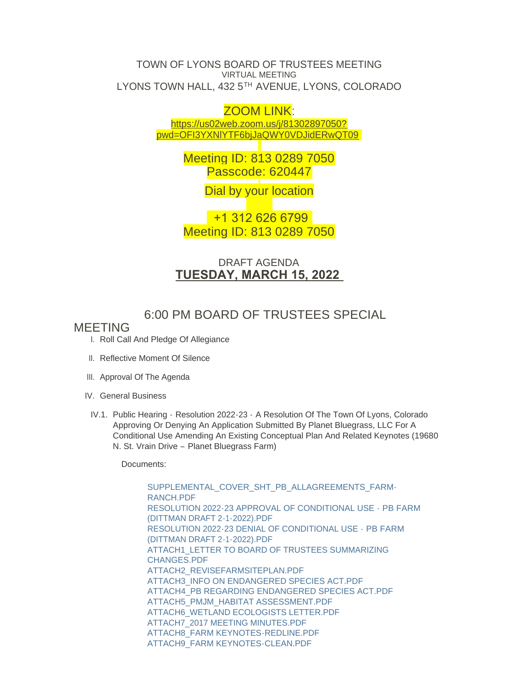#### TOWN OF LYONS BOARD OF TRUSTEES MEETING VIRTUAL MEETING LYONS TOWN HALL, 432 5TH AVENUE, LYONS, COLORADO

### ZOOM LINK:

https://us02web.zoom.us/j/81302897050? pw[d=OFI3YXNlYTF6bjJaQWY0VDJidERwQT09](https://us02web.zoom.us/j/81302897050?pwd=OFI3YXNlYTF6bjJaQWY0VDJidERwQT09)

> Meeting ID: 813 0289 7050 Passcode: 620447

> > Dial by your location

 +1 312 626 6799 Meeting ID: 813 0289 7050

## DRAFT AGENDA **TUESDAY, MARCH 15, 2022**

# 6:00 PM BOARD OF TRUSTEES SPECIAL

### MEETING

- I. Roll Call And Pledge Of Allegiance
- II. Reflective Moment Of Silence
- III. Approval Of The Agenda
- IV. General Business
- IV.1. Public Hearing Resolution 2022-23 A Resolution Of The Town Of Lyons, Colorado Approving Or Denying An Application Submitted By Planet Bluegrass, LLC For A Conditional Use Amending An Existing Conceptual Plan And Related Keynotes (19680 N. St. Vrain Drive – Planet Bluegrass Farm)

Documents:

[SUPPLEMENTAL\\_COVER\\_SHT\\_PB\\_ALLAGREEMENTS\\_FARM-](https://www.townoflyons.com/AgendaCenter/ViewFile/Item/9945?fileID=20521)RANCH.PDF [RESOLUTION 2022-23 APPROVAL OF CONDITIONAL USE - PB FARM](https://www.townoflyons.com/AgendaCenter/ViewFile/Item/9945?fileID=20519)  (DITTMAN DRAFT 2-1-2022).PDF [RESOLUTION 2022-23 DENIAL OF CONDITIONAL USE - PB FARM](https://www.townoflyons.com/AgendaCenter/ViewFile/Item/9945?fileID=20520)  (DITTMAN DRAFT 2-1-2022).PDF [ATTACH1\\_LETTER TO BOARD OF TRUSTEES SUMMARIZING](https://www.townoflyons.com/AgendaCenter/ViewFile/Item/9945?fileID=20522)  CHANGES.PDF [ATTACH2\\_REVISEFARMSITEPLAN.PDF](https://www.townoflyons.com/AgendaCenter/ViewFile/Item/9945?fileID=20523) [ATTACH3\\_INFO ON ENDANGERED SPECIES ACT.PDF](https://www.townoflyons.com/AgendaCenter/ViewFile/Item/9945?fileID=20524) [ATTACH4\\_PB REGARDING ENDANGERED SPECIES ACT.PDF](https://www.townoflyons.com/AgendaCenter/ViewFile/Item/9945?fileID=20525) [ATTACH5\\_PMJM\\_HABITAT ASSESSMENT.PDF](https://www.townoflyons.com/AgendaCenter/ViewFile/Item/9945?fileID=20526) [ATTACH6\\_WETLAND ECOLOGISTS LETTER.PDF](https://www.townoflyons.com/AgendaCenter/ViewFile/Item/9945?fileID=20527) [ATTACH7\\_2017 MEETING MINUTES.PDF](https://www.townoflyons.com/AgendaCenter/ViewFile/Item/9945?fileID=20528) [ATTACH8\\_FARM KEYNOTES-REDLINE.PDF](https://www.townoflyons.com/AgendaCenter/ViewFile/Item/9945?fileID=20529) [ATTACH9\\_FARM KEYNOTES-CLEAN.PDF](https://www.townoflyons.com/AgendaCenter/ViewFile/Item/9945?fileID=20530)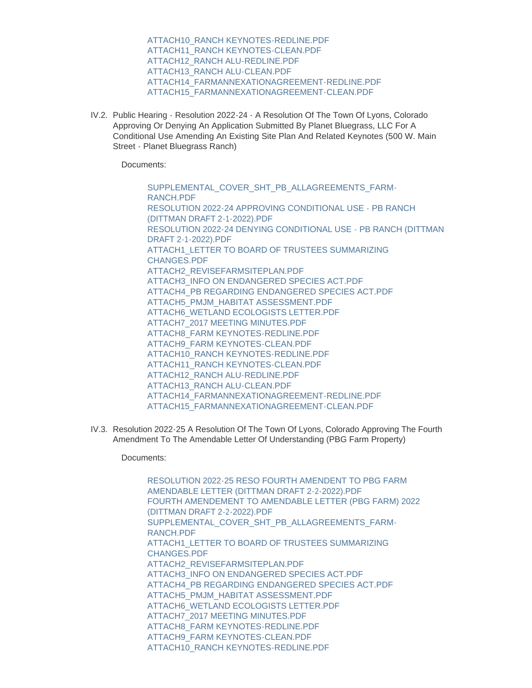[ATTACH10\\_RANCH KEYNOTES-REDLINE.PDF](https://www.townoflyons.com/AgendaCenter/ViewFile/Item/9945?fileID=20531) [ATTACH11\\_RANCH KEYNOTES-CLEAN.PDF](https://www.townoflyons.com/AgendaCenter/ViewFile/Item/9945?fileID=20532) [ATTACH12\\_RANCH ALU-REDLINE.PDF](https://www.townoflyons.com/AgendaCenter/ViewFile/Item/9945?fileID=20533) [ATTACH13\\_RANCH ALU-CLEAN.PDF](https://www.townoflyons.com/AgendaCenter/ViewFile/Item/9945?fileID=20534) [ATTACH14\\_FARMANNEXATIONAGREEMENT-REDLINE.PDF](https://www.townoflyons.com/AgendaCenter/ViewFile/Item/9945?fileID=20535) [ATTACH15\\_FARMANNEXATIONAGREEMENT-CLEAN.PDF](https://www.townoflyons.com/AgendaCenter/ViewFile/Item/9945?fileID=20536)

IV.2. Public Hearing - Resolution 2022-24 - A Resolution Of The Town Of Lyons, Colorado Approving Or Denying An Application Submitted By Planet Bluegrass, LLC For A Conditional Use Amending An Existing Site Plan And Related Keynotes (500 W. Main Street - Planet Bluegrass Ranch)

Documents:

[SUPPLEMENTAL\\_COVER\\_SHT\\_PB\\_ALLAGREEMENTS\\_FARM-](https://www.townoflyons.com/AgendaCenter/ViewFile/Item/9946?fileID=20554)RANCH.PDF [RESOLUTION 2022-24 APPROVING CONDITIONAL USE - PB RANCH](https://www.townoflyons.com/AgendaCenter/ViewFile/Item/9946?fileID=20537)  (DITTMAN DRAFT 2-1-2022).PDF [RESOLUTION 2022-24 DENYING CONDITIONAL USE - PB RANCH \(DITTMAN](https://www.townoflyons.com/AgendaCenter/ViewFile/Item/9946?fileID=20538)  DRAFT 2-1-2022).PDF [ATTACH1\\_LETTER TO BOARD OF TRUSTEES SUMMARIZING](https://www.townoflyons.com/AgendaCenter/ViewFile/Item/9946?fileID=20547)  CHANGES.PDF [ATTACH2\\_REVISEFARMSITEPLAN.PDF](https://www.townoflyons.com/AgendaCenter/ViewFile/Item/9946?fileID=20548) [ATTACH3\\_INFO ON ENDANGERED SPECIES ACT.PDF](https://www.townoflyons.com/AgendaCenter/ViewFile/Item/9946?fileID=20549) [ATTACH4\\_PB REGARDING ENDANGERED SPECIES ACT.PDF](https://www.townoflyons.com/AgendaCenter/ViewFile/Item/9946?fileID=20550) [ATTACH5\\_PMJM\\_HABITAT ASSESSMENT.PDF](https://www.townoflyons.com/AgendaCenter/ViewFile/Item/9946?fileID=20551) [ATTACH6\\_WETLAND ECOLOGISTS LETTER.PDF](https://www.townoflyons.com/AgendaCenter/ViewFile/Item/9946?fileID=20552) [ATTACH7\\_2017 MEETING MINUTES.PDF](https://www.townoflyons.com/AgendaCenter/ViewFile/Item/9946?fileID=20553) [ATTACH8\\_FARM KEYNOTES-REDLINE.PDF](https://www.townoflyons.com/AgendaCenter/ViewFile/Item/9946?fileID=20539) [ATTACH9\\_FARM KEYNOTES-CLEAN.PDF](https://www.townoflyons.com/AgendaCenter/ViewFile/Item/9946?fileID=20540) [ATTACH10\\_RANCH KEYNOTES-REDLINE.PDF](https://www.townoflyons.com/AgendaCenter/ViewFile/Item/9946?fileID=20541) [ATTACH11\\_RANCH KEYNOTES-CLEAN.PDF](https://www.townoflyons.com/AgendaCenter/ViewFile/Item/9946?fileID=20542) [ATTACH12\\_RANCH ALU-REDLINE.PDF](https://www.townoflyons.com/AgendaCenter/ViewFile/Item/9946?fileID=20543) [ATTACH13\\_RANCH ALU-CLEAN.PDF](https://www.townoflyons.com/AgendaCenter/ViewFile/Item/9946?fileID=20544) [ATTACH14\\_FARMANNEXATIONAGREEMENT-REDLINE.PDF](https://www.townoflyons.com/AgendaCenter/ViewFile/Item/9946?fileID=20545) [ATTACH15\\_FARMANNEXATIONAGREEMENT-CLEAN.PDF](https://www.townoflyons.com/AgendaCenter/ViewFile/Item/9946?fileID=20546)

IV.3. Resolution 2022-25 A Resolution Of The Town Of Lyons, Colorado Approving The Fourth Amendment To The Amendable Letter Of Understanding (PBG Farm Property)

Documents:

[RESOLUTION 2022-25 RESO FOURTH AMENDENT TO PBG FARM](https://www.townoflyons.com/AgendaCenter/ViewFile/Item/9947?fileID=20555)  AMENDABLE LETTER (DITTMAN DRAFT 2-2-2022).PDF [FOURTH AMENDEMENT TO AMENDABLE LETTER \(PBG FARM\) 2022](https://www.townoflyons.com/AgendaCenter/ViewFile/Item/9947?fileID=20572)  (DITTMAN DRAFT 2-2-2022).PDF [SUPPLEMENTAL\\_COVER\\_SHT\\_PB\\_ALLAGREEMENTS\\_FARM-](https://www.townoflyons.com/AgendaCenter/ViewFile/Item/9947?fileID=20556)RANCH.PDF [ATTACH1\\_LETTER TO BOARD OF TRUSTEES SUMMARIZING](https://www.townoflyons.com/AgendaCenter/ViewFile/Item/9947?fileID=20567)  CHANGES.PDF [ATTACH2\\_REVISEFARMSITEPLAN.PDF](https://www.townoflyons.com/AgendaCenter/ViewFile/Item/9947?fileID=20568) [ATTACH3\\_INFO ON ENDANGERED SPECIES ACT.PDF](https://www.townoflyons.com/AgendaCenter/ViewFile/Item/9947?fileID=20569) [ATTACH4\\_PB REGARDING ENDANGERED SPECIES ACT.PDF](https://www.townoflyons.com/AgendaCenter/ViewFile/Item/9947?fileID=20570) [ATTACH5\\_PMJM\\_HABITAT ASSESSMENT.PDF](https://www.townoflyons.com/AgendaCenter/ViewFile/Item/9947?fileID=20571) [ATTACH6\\_WETLAND ECOLOGISTS LETTER.PDF](https://www.townoflyons.com/AgendaCenter/ViewFile/Item/9947?fileID=20557) [ATTACH7\\_2017 MEETING MINUTES.PDF](https://www.townoflyons.com/AgendaCenter/ViewFile/Item/9947?fileID=20558) [ATTACH8\\_FARM KEYNOTES-REDLINE.PDF](https://www.townoflyons.com/AgendaCenter/ViewFile/Item/9947?fileID=20559) [ATTACH9\\_FARM KEYNOTES-CLEAN.PDF](https://www.townoflyons.com/AgendaCenter/ViewFile/Item/9947?fileID=20560) [ATTACH10\\_RANCH KEYNOTES-REDLINE.PDF](https://www.townoflyons.com/AgendaCenter/ViewFile/Item/9947?fileID=20561)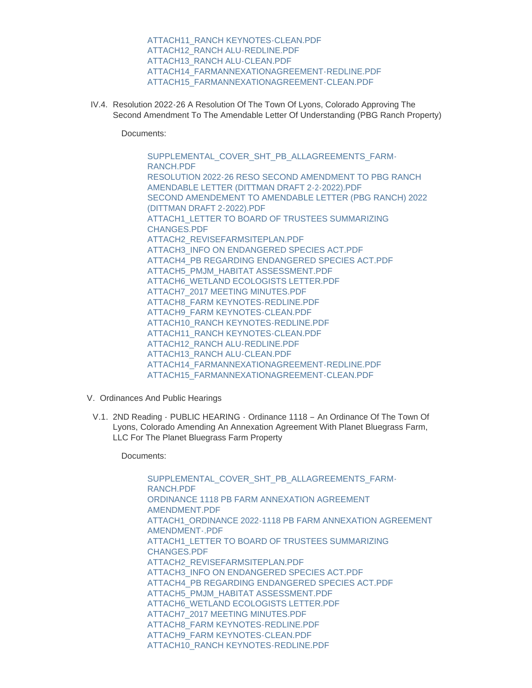[ATTACH11\\_RANCH KEYNOTES-CLEAN.PDF](https://www.townoflyons.com/AgendaCenter/ViewFile/Item/9947?fileID=20562) [ATTACH12\\_RANCH ALU-REDLINE.PDF](https://www.townoflyons.com/AgendaCenter/ViewFile/Item/9947?fileID=20563) [ATTACH13\\_RANCH ALU-CLEAN.PDF](https://www.townoflyons.com/AgendaCenter/ViewFile/Item/9947?fileID=20564) [ATTACH14\\_FARMANNEXATIONAGREEMENT-REDLINE.PDF](https://www.townoflyons.com/AgendaCenter/ViewFile/Item/9947?fileID=20565) [ATTACH15\\_FARMANNEXATIONAGREEMENT-CLEAN.PDF](https://www.townoflyons.com/AgendaCenter/ViewFile/Item/9947?fileID=20566)

IV.4. Resolution 2022-26 A Resolution Of The Town Of Lyons, Colorado Approving The Second Amendment To The Amendable Letter Of Understanding (PBG Ranch Property)

Documents:

[SUPPLEMENTAL\\_COVER\\_SHT\\_PB\\_ALLAGREEMENTS\\_FARM-](https://www.townoflyons.com/AgendaCenter/ViewFile/Item/9948?fileID=20575)RANCH.PDF [RESOLUTION 2022-26 RESO SECOND AMENDMENT TO PBG RANCH](https://www.townoflyons.com/AgendaCenter/ViewFile/Item/9948?fileID=20574)  AMENDABLE LETTER (DITTMAN DRAFT 2-2-2022).PDF [SECOND AMENDEMENT TO AMENDABLE LETTER \(PBG RANCH\) 2022](https://www.townoflyons.com/AgendaCenter/ViewFile/Item/9948?fileID=20573)  (DITTMAN DRAFT 2-2022).PDF [ATTACH1\\_LETTER TO BOARD OF TRUSTEES SUMMARIZING](https://www.townoflyons.com/AgendaCenter/ViewFile/Item/9948?fileID=20582)  CHANGES.PDF [ATTACH2\\_REVISEFARMSITEPLAN.PDF](https://www.townoflyons.com/AgendaCenter/ViewFile/Item/9948?fileID=20583) [ATTACH3\\_INFO ON ENDANGERED SPECIES ACT.PDF](https://www.townoflyons.com/AgendaCenter/ViewFile/Item/9948?fileID=20584) [ATTACH4\\_PB REGARDING ENDANGERED SPECIES ACT.PDF](https://www.townoflyons.com/AgendaCenter/ViewFile/Item/9948?fileID=20585) [ATTACH5\\_PMJM\\_HABITAT ASSESSMENT.PDF](https://www.townoflyons.com/AgendaCenter/ViewFile/Item/9948?fileID=20586) [ATTACH6\\_WETLAND ECOLOGISTS LETTER.PDF](https://www.townoflyons.com/AgendaCenter/ViewFile/Item/9948?fileID=20587) [ATTACH7\\_2017 MEETING MINUTES.PDF](https://www.townoflyons.com/AgendaCenter/ViewFile/Item/9948?fileID=20588) [ATTACH8\\_FARM KEYNOTES-REDLINE.PDF](https://www.townoflyons.com/AgendaCenter/ViewFile/Item/9948?fileID=20589) [ATTACH9\\_FARM KEYNOTES-CLEAN.PDF](https://www.townoflyons.com/AgendaCenter/ViewFile/Item/9948?fileID=20590) [ATTACH10\\_RANCH KEYNOTES-REDLINE.PDF](https://www.townoflyons.com/AgendaCenter/ViewFile/Item/9948?fileID=20576) [ATTACH11\\_RANCH KEYNOTES-CLEAN.PDF](https://www.townoflyons.com/AgendaCenter/ViewFile/Item/9948?fileID=20577) [ATTACH12\\_RANCH ALU-REDLINE.PDF](https://www.townoflyons.com/AgendaCenter/ViewFile/Item/9948?fileID=20578) [ATTACH13\\_RANCH ALU-CLEAN.PDF](https://www.townoflyons.com/AgendaCenter/ViewFile/Item/9948?fileID=20579) [ATTACH14\\_FARMANNEXATIONAGREEMENT-REDLINE.PDF](https://www.townoflyons.com/AgendaCenter/ViewFile/Item/9948?fileID=20580) [ATTACH15\\_FARMANNEXATIONAGREEMENT-CLEAN.PDF](https://www.townoflyons.com/AgendaCenter/ViewFile/Item/9948?fileID=20581)

- V. Ordinances And Public Hearings
	- V.1. 2ND Reading PUBLIC HEARING Ordinance 1118 An Ordinance Of The Town Of Lyons, Colorado Amending An Annexation Agreement With Planet Bluegrass Farm, LLC For The Planet Bluegrass Farm Property

Documents:

[SUPPLEMENTAL\\_COVER\\_SHT\\_PB\\_ALLAGREEMENTS\\_FARM-](https://www.townoflyons.com/AgendaCenter/ViewFile/Item/9949?fileID=20608)RANCH.PDF [ORDINANCE 1118 PB FARM ANNEXATION AGREEMENT](https://www.townoflyons.com/AgendaCenter/ViewFile/Item/9949?fileID=20591)  AMENDMENT.PDF ATTACH1\_ORDINANCE 2022-1118 PB FARM ANNEXATION AGREEMENT AMENDMENT-.PDF [ATTACH1\\_LETTER TO BOARD OF TRUSTEES SUMMARIZING](https://www.townoflyons.com/AgendaCenter/ViewFile/Item/9949?fileID=20604)  CHANGES.PDF [ATTACH2\\_REVISEFARMSITEPLAN.PDF](https://www.townoflyons.com/AgendaCenter/ViewFile/Item/9949?fileID=20605) [ATTACH3\\_INFO ON ENDANGERED SPECIES ACT.PDF](https://www.townoflyons.com/AgendaCenter/ViewFile/Item/9949?fileID=20606) [ATTACH4\\_PB REGARDING ENDANGERED SPECIES ACT.PDF](https://www.townoflyons.com/AgendaCenter/ViewFile/Item/9949?fileID=20607) [ATTACH5\\_PMJM\\_HABITAT ASSESSMENT.PDF](https://www.townoflyons.com/AgendaCenter/ViewFile/Item/9949?fileID=20593) [ATTACH6\\_WETLAND ECOLOGISTS LETTER.PDF](https://www.townoflyons.com/AgendaCenter/ViewFile/Item/9949?fileID=20594) [ATTACH7\\_2017 MEETING MINUTES.PDF](https://www.townoflyons.com/AgendaCenter/ViewFile/Item/9949?fileID=20595) [ATTACH8\\_FARM KEYNOTES-REDLINE.PDF](https://www.townoflyons.com/AgendaCenter/ViewFile/Item/9949?fileID=20596) [ATTACH9\\_FARM KEYNOTES-CLEAN.PDF](https://www.townoflyons.com/AgendaCenter/ViewFile/Item/9949?fileID=20597) [ATTACH10\\_RANCH KEYNOTES-REDLINE.PDF](https://www.townoflyons.com/AgendaCenter/ViewFile/Item/9949?fileID=20598)